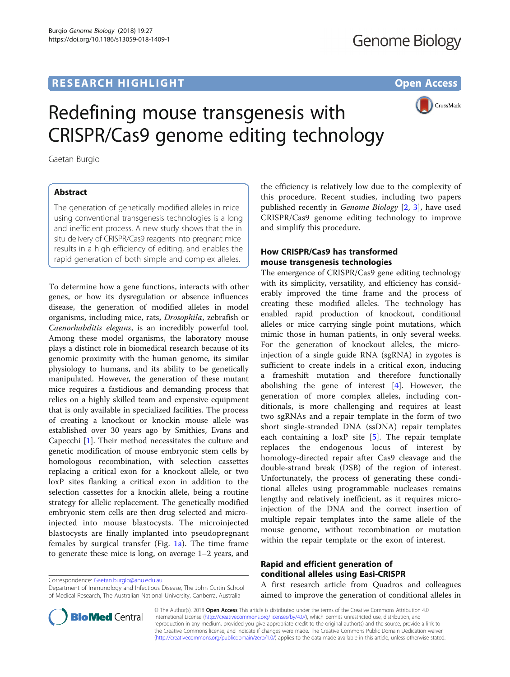## **RESEARCH HIGHLIGHT CONSUMING THE OPEN ACCESS**



# Redefining mouse transgenesis with CRISPR/Cas9 genome editing technology

Gaetan Burgio

## Abstract

The generation of genetically modified alleles in mice using conventional transgenesis technologies is a long and inefficient process. A new study shows that the in situ delivery of CRISPR/Cas9 reagents into pregnant mice results in a high efficiency of editing, and enables the rapid generation of both simple and complex alleles.

To determine how a gene functions, interacts with other genes, or how its dysregulation or absence influences disease, the generation of modified alleles in model organisms, including mice, rats, Drosophila, zebrafish or Caenorhabditis elegans, is an incredibly powerful tool. Among these model organisms, the laboratory mouse plays a distinct role in biomedical research because of its genomic proximity with the human genome, its similar physiology to humans, and its ability to be genetically manipulated. However, the generation of these mutant mice requires a fastidious and demanding process that relies on a highly skilled team and expensive equipment that is only available in specialized facilities. The process of creating a knockout or knockin mouse allele was established over 30 years ago by Smithies, Evans and Capecchi [[1\]](#page-2-0). Their method necessitates the culture and genetic modification of mouse embryonic stem cells by homologous recombination, with selection cassettes replacing a critical exon for a knockout allele, or two loxP sites flanking a critical exon in addition to the selection cassettes for a knockin allele, being a routine strategy for allelic replacement. The genetically modified embryonic stem cells are then drug selected and microinjected into mouse blastocysts. The microinjected blastocysts are finally implanted into pseudopregnant females by surgical transfer (Fig. [1a\)](#page-1-0). The time frame to generate these mice is long, on average 1–2 years, and

Correspondence: [Gaetan.burgio@anu.edu.au](mailto:Gaetan.burgio@anu.edu.au)

Department of Immunology and Infectious Disease, The John Curtin School of Medical Research, The Australian National University, Canberra, Australia



## How CRISPR/Cas9 has transformed mouse transgenesis technologies

The emergence of CRISPR/Cas9 gene editing technology with its simplicity, versatility, and efficiency has considerably improved the time frame and the process of creating these modified alleles. The technology has enabled rapid production of knockout, conditional alleles or mice carrying single point mutations, which mimic those in human patients, in only several weeks. For the generation of knockout alleles, the microinjection of a single guide RNA (sgRNA) in zygotes is sufficient to create indels in a critical exon, inducing a frameshift mutation and therefore functionally abolishing the gene of interest [[4\]](#page-2-0). However, the generation of more complex alleles, including conditionals, is more challenging and requires at least two sgRNAs and a repair template in the form of two short single-stranded DNA (ssDNA) repair templates each containing a  $\text{lox}$  site [[5\]](#page-2-0). The repair template replaces the endogenous locus of interest by homology-directed repair after Cas9 cleavage and the double-strand break (DSB) of the region of interest. Unfortunately, the process of generating these conditional alleles using programmable nucleases remains lengthy and relatively inefficient, as it requires microinjection of the DNA and the correct insertion of multiple repair templates into the same allele of the mouse genome, without recombination or mutation within the repair template or the exon of interest.

## Rapid and efficient generation of conditional alleles using Easi-CRISPR

A first research article from Quadros and colleagues aimed to improve the generation of conditional alleles in



© The Author(s). 2018 Open Access This article is distributed under the terms of the Creative Commons Attribution 4.0 International License [\(http://creativecommons.org/licenses/by/4.0/](http://creativecommons.org/licenses/by/4.0/)), which permits unrestricted use, distribution, and reproduction in any medium, provided you give appropriate credit to the original author(s) and the source, provide a link to the Creative Commons license, and indicate if changes were made. The Creative Commons Public Domain Dedication waiver [\(http://creativecommons.org/publicdomain/zero/1.0/](http://creativecommons.org/publicdomain/zero/1.0/)) applies to the data made available in this article, unless otherwise stated.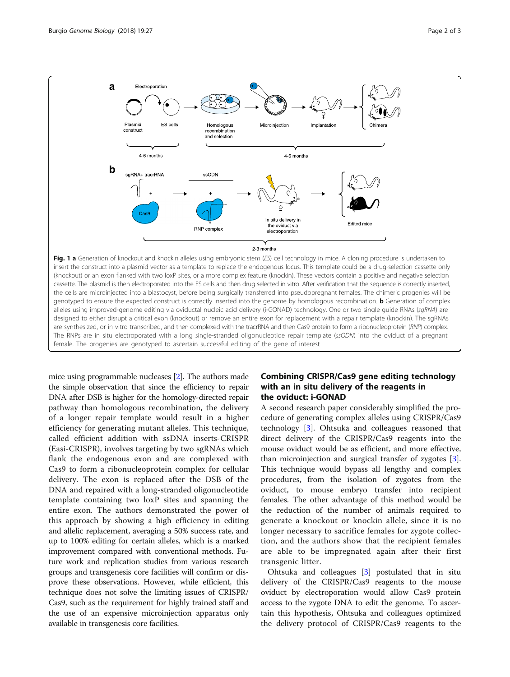<span id="page-1-0"></span>

Fig. 1 a Generation of knockout and knockin alleles using embryonic stem (ES) cell technology in mice. A cloning procedure is undertaken to insert the construct into a plasmid vector as a template to replace the endogenous locus. This template could be a drug-selection cassette only (knockout) or an exon flanked with two loxP sites, or a more complex feature (knockin). These vectors contain a positive and negative selection cassette. The plasmid is then electroporated into the ES cells and then drug selected in vitro. After verification that the sequence is correctly inserted, the cells are microinjected into a blastocyst, before being surgically transferred into pseudopregnant females. The chimeric progenies will be genotyped to ensure the expected construct is correctly inserted into the genome by homologous recombination. b Generation of complex alleles using improved-genome editing via oviductal nucleic acid delivery (i-GONAD) technology. One or two single guide RNAs (saRNA) are designed to either disrupt a critical exon (knockout) or remove an entire exon for replacement with a repair template (knockin). The sgRNAs are synthesized, or in vitro transcribed, and then complexed with the tracrRNA and then Cas9 protein to form a ribonucleoprotein (RNP) complex. The RNPs are in situ electroporated with a long single-stranded oligonucleotide repair template (ssODN) into the oviduct of a pregnant female. The progenies are genotyped to ascertain successful editing of the gene of interest

mice using programmable nucleases [[2](#page-2-0)]. The authors made the simple observation that since the efficiency to repair DNA after DSB is higher for the homology-directed repair pathway than homologous recombination, the delivery of a longer repair template would result in a higher efficiency for generating mutant alleles. This technique, called efficient addition with ssDNA inserts-CRISPR (Easi-CRISPR), involves targeting by two sgRNAs which flank the endogenous exon and are complexed with Cas9 to form a ribonucleoprotein complex for cellular delivery. The exon is replaced after the DSB of the DNA and repaired with a long-stranded oligonucleotide template containing two loxP sites and spanning the entire exon. The authors demonstrated the power of this approach by showing a high efficiency in editing and allelic replacement, averaging a 50% success rate, and up to 100% editing for certain alleles, which is a marked improvement compared with conventional methods. Future work and replication studies from various research groups and transgenesis core facilities will confirm or disprove these observations. However, while efficient, this technique does not solve the limiting issues of CRISPR/ Cas9, such as the requirement for highly trained staff and the use of an expensive microinjection apparatus only available in transgenesis core facilities.

## Combining CRISPR/Cas9 gene editing technology with an in situ delivery of the reagents in the oviduct: i-GONAD

A second research paper considerably simplified the procedure of generating complex alleles using CRISPR/Cas9 technology [[3\]](#page-2-0). Ohtsuka and colleagues reasoned that direct delivery of the CRISPR/Cas9 reagents into the mouse oviduct would be as efficient, and more effective, than microinjection and surgical transfer of zygotes [\[3](#page-2-0)]. This technique would bypass all lengthy and complex procedures, from the isolation of zygotes from the oviduct, to mouse embryo transfer into recipient females. The other advantage of this method would be the reduction of the number of animals required to generate a knockout or knockin allele, since it is no longer necessary to sacrifice females for zygote collection, and the authors show that the recipient females are able to be impregnated again after their first transgenic litter.

Ohtsuka and colleagues [\[3](#page-2-0)] postulated that in situ delivery of the CRISPR/Cas9 reagents to the mouse oviduct by electroporation would allow Cas9 protein access to the zygote DNA to edit the genome. To ascertain this hypothesis, Ohtsuka and colleagues optimized the delivery protocol of CRISPR/Cas9 reagents to the